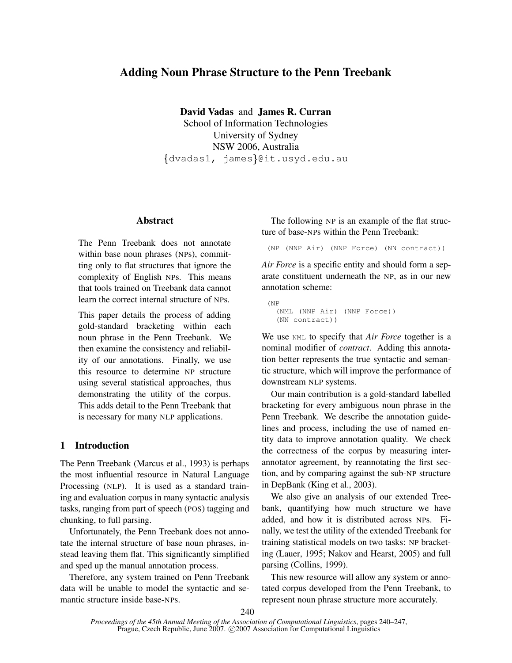# **Adding Noun Phrase Structure to the Penn Treebank**

**David Vadas** and **James R. Curran** School of Information Technologies University of Sydney NSW 2006, Australia  $\{\texttt{dvadas1, } \texttt{james}\}$ @it.usyd.edu.au

## **Abstract**

The Penn Treebank does not annotate within base noun phrases (NPs), committing only to flat structures that ignore the complexity of English NPs. This means that tools trained on Treebank data cannot learn the correct internal structure of NPs.

This paper details the process of adding gold-standard bracketing within each noun phrase in the Penn Treebank. We then examine the consistency and reliability of our annotations. Finally, we use this resource to determine NP structure using several statistical approaches, thus demonstrating the utility of the corpus. This adds detail to the Penn Treebank that is necessary for many NLP applications.

## **1 Introduction**

The Penn Treebank (Marcus et al., 1993) is perhaps the most influential resource in Natural Language Processing (NLP). It is used as a standard training and evaluation corpus in many syntactic analysis tasks, ranging from part of speech (POS) tagging and chunking, to full parsing.

Unfortunately, the Penn Treebank does not annotate the internal structure of base noun phrases, instead leaving them flat. This significantly simplified and sped up the manual annotation process.

Therefore, any system trained on Penn Treebank data will be unable to model the syntactic and semantic structure inside base-NPs.

The following NP is an example of the flat structure of base-NPs within the Penn Treebank:

(NP (NNP Air) (NNP Force) (NN contract))

*Air Force* is a specific entity and should form a separate constituent underneath the NP, as in our new annotation scheme:

```
(NP
(NML (NNP Air) (NNP Force))
(NN contract))
```
We use NML to specify that *Air Force* together is a nominal modifier of *contract*. Adding this annotation better represents the true syntactic and semantic structure, which will improve the performance of downstream NLP systems.

Our main contribution is a gold-standard labelled bracketing for every ambiguous noun phrase in the Penn Treebank. We describe the annotation guidelines and process, including the use of named entity data to improve annotation quality. We check the correctness of the corpus by measuring interannotator agreement, by reannotating the first section, and by comparing against the sub-NP structure in DepBank (King et al., 2003).

We also give an analysis of our extended Treebank, quantifying how much structure we have added, and how it is distributed across NPs. Finally, we test the utility of the extended Treebank for training statistical models on two tasks: NP bracketing (Lauer, 1995; Nakov and Hearst, 2005) and full parsing (Collins, 1999).

This new resource will allow any system or annotated corpus developed from the Penn Treebank, to represent noun phrase structure more accurately.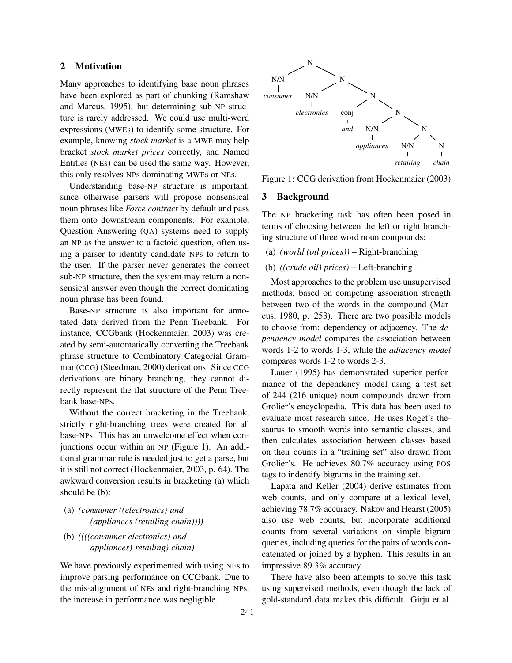## **2 Motivation**

Many approaches to identifying base noun phrases have been explored as part of chunking (Ramshaw and Marcus, 1995), but determining sub-NP structure is rarely addressed. We could use multi-word expressions (MWEs) to identify some structure. For example, knowing *stock market* is a MWE may help bracket *stock market prices* correctly, and Named Entities (NEs) can be used the same way. However, this only resolves NPs dominating MWEs or NEs.

Understanding base-NP structure is important, since otherwise parsers will propose nonsensical noun phrases like *Force contract* by default and pass them onto downstream components. For example, Question Answering (QA) systems need to supply an NP as the answer to a factoid question, often using a parser to identify candidate NPs to return to the user. If the parser never generates the correct sub-NP structure, then the system may return a nonsensical answer even though the correct dominating noun phrase has been found.

Base-NP structure is also important for annotated data derived from the Penn Treebank. For instance, CCGbank (Hockenmaier, 2003) was created by semi-automatically converting the Treebank phrase structure to Combinatory Categorial Grammar (CCG) (Steedman, 2000) derivations. Since CCG derivations are binary branching, they cannot directly represent the flat structure of the Penn Treebank base-NPs.

Without the correct bracketing in the Treebank, strictly right-branching trees were created for all base-NPs. This has an unwelcome effect when conjunctions occur within an NP (Figure 1). An additional grammar rule is needed just to get a parse, but it is still not correct (Hockenmaier, 2003, p. 64). The awkward conversion results in bracketing (a) which should be (b):

- (a) *(consumer ((electronics) and (appliances (retailing chain))))*
- (b) *((((consumer electronics) and appliances) retailing) chain)*

We have previously experimented with using NEs to improve parsing performance on CCGbank. Due to the mis-alignment of NEs and right-branching NPs, the increase in performance was negligible.



Figure 1: CCG derivation from Hockenmaier (2003)

#### **3 Background**

The NP bracketing task has often been posed in terms of choosing between the left or right branching structure of three word noun compounds:

- (a) *(world (oil prices))* Right-branching
- (b) *((crude oil) prices)* Left-branching

Most approaches to the problem use unsupervised methods, based on competing association strength between two of the words in the compound (Marcus, 1980, p. 253). There are two possible models to choose from: dependency or adjacency. The *dependency model* compares the association between words 1-2 to words 1-3, while the *adjacency model* compares words 1-2 to words 2-3.

Lauer (1995) has demonstrated superior performance of the dependency model using a test set of 244 (216 unique) noun compounds drawn from Grolier's encyclopedia. This data has been used to evaluate most research since. He uses Roget's thesaurus to smooth words into semantic classes, and then calculates association between classes based on their counts in a "training set" also drawn from Grolier's. He achieves 80.7% accuracy using POS tags to indentify bigrams in the training set.

Lapata and Keller (2004) derive estimates from web counts, and only compare at a lexical level, achieving 78.7% accuracy. Nakov and Hearst (2005) also use web counts, but incorporate additional counts from several variations on simple bigram queries, including queries for the pairs of words concatenated or joined by a hyphen. This results in an impressive 89.3% accuracy.

There have also been attempts to solve this task using supervised methods, even though the lack of gold-standard data makes this difficult. Girju et al.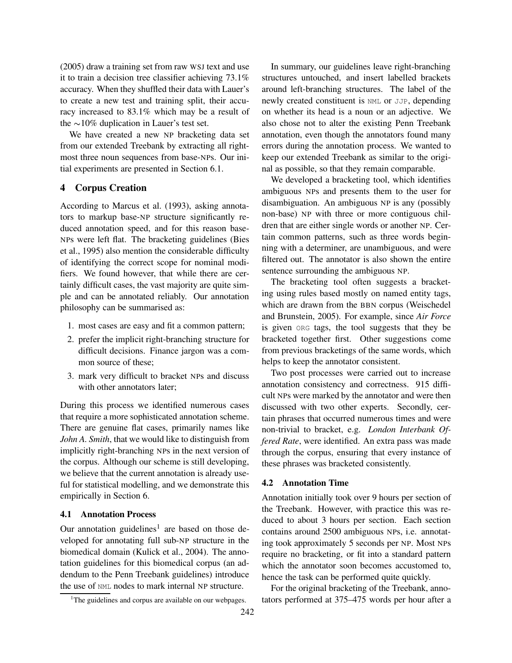(2005) draw a training set from raw WSJ text and use it to train a decision tree classifier achieving 73.1% accuracy. When they shuffled their data with Lauer's to create a new test and training split, their accuracy increased to 83.1% which may be a result of the  $\sim$ 10% duplication in Lauer's test set.

We have created a new NP bracketing data set from our extended Treebank by extracting all rightmost three noun sequences from base-NPs. Our initial experiments are presented in Section 6.1.

# **4 Corpus Creation**

According to Marcus et al. (1993), asking annotators to markup base-NP structure significantly reduced annotation speed, and for this reason base-NPs were left flat. The bracketing guidelines (Bies et al., 1995) also mention the considerable difficulty of identifying the correct scope for nominal modifiers. We found however, that while there are certainly difficult cases, the vast majority are quite simple and can be annotated reliably. Our annotation philosophy can be summarised as:

- 1. most cases are easy and fit a common pattern;
- 2. prefer the implicit right-branching structure for difficult decisions. Finance jargon was a common source of these;
- 3. mark very difficult to bracket NPs and discuss with other annotators later;

During this process we identified numerous cases that require a more sophisticated annotation scheme. There are genuine flat cases, primarily names like *John A. Smith*, that we would like to distinguish from implicitly right-branching NPs in the next version of the corpus. Although our scheme is still developing, we believe that the current annotation is already useful for statistical modelling, and we demonstrate this empirically in Section 6.

## **4.1 Annotation Process**

Our annotation guidelines<sup>1</sup> are based on those developed for annotating full sub-NP structure in the biomedical domain (Kulick et al., 2004). The annotation guidelines for this biomedical corpus (an addendum to the Penn Treebank guidelines) introduce the use of NML nodes to mark internal NP structure.

In summary, our guidelines leave right-branching structures untouched, and insert labelled brackets around left-branching structures. The label of the newly created constituent is NML or JJP, depending on whether its head is a noun or an adjective. We also chose not to alter the existing Penn Treebank annotation, even though the annotators found many errors during the annotation process. We wanted to keep our extended Treebank as similar to the original as possible, so that they remain comparable.

We developed a bracketing tool, which identifies ambiguous NPs and presents them to the user for disambiguation. An ambiguous NP is any (possibly non-base) NP with three or more contiguous children that are either single words or another NP. Certain common patterns, such as three words beginning with a determiner, are unambiguous, and were filtered out. The annotator is also shown the entire sentence surrounding the ambiguous NP.

The bracketing tool often suggests a bracketing using rules based mostly on named entity tags, which are drawn from the BBN corpus (Weischedel and Brunstein, 2005). For example, since *Air Force* is given ORG tags, the tool suggests that they be bracketed together first. Other suggestions come from previous bracketings of the same words, which helps to keep the annotator consistent.

Two post processes were carried out to increase annotation consistency and correctness. 915 difficult NPs were marked by the annotator and were then discussed with two other experts. Secondly, certain phrases that occurred numerous times and were non-trivial to bracket, e.g. *London Interbank Offered Rate*, were identified. An extra pass was made through the corpus, ensuring that every instance of these phrases was bracketed consistently.

### **4.2 Annotation Time**

Annotation initially took over 9 hours per section of the Treebank. However, with practice this was reduced to about 3 hours per section. Each section contains around 2500 ambiguous NPs, i.e. annotating took approximately 5 seconds per NP. Most NPs require no bracketing, or fit into a standard pattern which the annotator soon becomes accustomed to, hence the task can be performed quite quickly.

For the original bracketing of the Treebank, annotators performed at 375–475 words per hour after a

<sup>&</sup>lt;sup>1</sup>The guidelines and corpus are available on our webpages.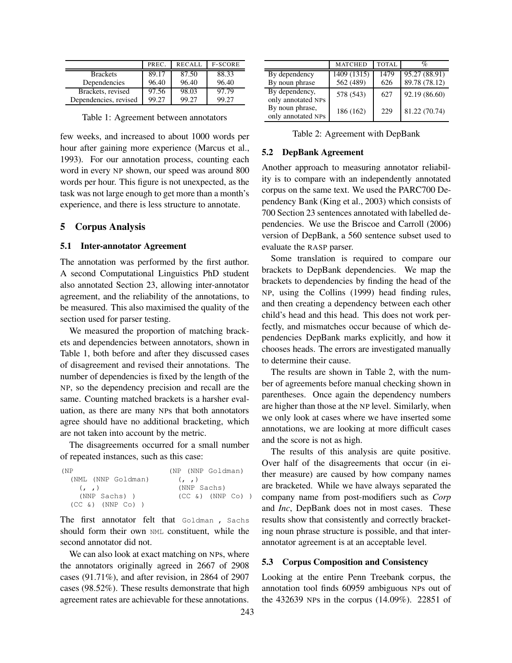|                       | PREC. | <b>RECALL</b> | <b>F-SCORE</b> |
|-----------------------|-------|---------------|----------------|
| <b>Brackets</b>       | 89.17 | 87.50         | 88.33          |
| Dependencies          | 96.40 | 96.40         | 96.40          |
| Brackets, revised     | 97.56 | 98.03         | 97.79          |
| Dependencies, revised | 99.27 | 99.27         | 99.27          |

Table 1: Agreement between annotators

few weeks, and increased to about 1000 words per hour after gaining more experience (Marcus et al., 1993). For our annotation process, counting each word in every NP shown, our speed was around 800 words per hour. This figure is not unexpected, as the task was not large enough to get more than a month's experience, and there is less structure to annotate.

### **5 Corpus Analysis**

#### **5.1 Inter-annotator Agreement**

The annotation was performed by the first author. A second Computational Linguistics PhD student also annotated Section 23, allowing inter-annotator agreement, and the reliability of the annotations, to be measured. This also maximised the quality of the section used for parser testing.

We measured the proportion of matching brackets and dependencies between annotators, shown in Table 1, both before and after they discussed cases of disagreement and revised their annotations. The number of dependencies is fixed by the length of the NP, so the dependency precision and recall are the same. Counting matched brackets is a harsher evaluation, as there are many NPs that both annotators agree should have no additional bracketing, which are not taken into account by the metric.

The disagreements occurred for a small number of repeated instances, such as this case:

| (NP                  | (NP (NNP Goldman)      |  |  |  |  |  |
|----------------------|------------------------|--|--|--|--|--|
| (NML (NNP Goldman)   | (1, 1)                 |  |  |  |  |  |
| (1, 1)               | (NNP Sachs)            |  |  |  |  |  |
| (NNP Sachs))         | $(CC \&) (NNP \ Co) )$ |  |  |  |  |  |
| $(CC \&) (NNP \&) )$ |                        |  |  |  |  |  |

The first annotator felt that Goldman , Sachs should form their own NML constituent, while the second annotator did not.

We can also look at exact matching on NPs, where the annotators originally agreed in 2667 of 2908 cases (91.71%), and after revision, in 2864 of 2907 cases (98.52%). These results demonstrate that high agreement rates are achievable for these annotations.

|                                       | <b>MATCHED</b> | <b>TOTAL</b> | %             |
|---------------------------------------|----------------|--------------|---------------|
| By dependency                         | 1409 (1315)    | 1479         | 95.27 (88.91) |
| By noun phrase                        | 562 (489)      | 626          | 89.78 (78.12) |
| By dependency,<br>only annotated NPs  | 578 (543)      | 627          | 92.19 (86.60) |
| By noun phrase,<br>only annotated NPs | 186 (162)      | 229          | 81.22 (70.74) |

Table 2: Agreement with DepBank

### **5.2 DepBank Agreement**

Another approach to measuring annotator reliability is to compare with an independently annotated corpus on the same text. We used the PARC700 Dependency Bank (King et al., 2003) which consists of 700 Section 23 sentences annotated with labelled dependencies. We use the Briscoe and Carroll (2006) version of DepBank, a 560 sentence subset used to evaluate the RASP parser.

Some translation is required to compare our brackets to DepBank dependencies. We map the brackets to dependencies by finding the head of the NP, using the Collins (1999) head finding rules, and then creating a dependency between each other child's head and this head. This does not work perfectly, and mismatches occur because of which dependencies DepBank marks explicitly, and how it chooses heads. The errors are investigated manually to determine their cause.

The results are shown in Table 2, with the number of agreements before manual checking shown in parentheses. Once again the dependency numbers are higher than those at the NP level. Similarly, when we only look at cases where we have inserted some annotations, we are looking at more difficult cases and the score is not as high.

The results of this analysis are quite positive. Over half of the disagreements that occur (in either measure) are caused by how company names are bracketed. While we have always separated the company name from post-modifiers such as *Corp* and *Inc*, DepBank does not in most cases. These results show that consistently and correctly bracketing noun phrase structure is possible, and that interannotator agreement is at an acceptable level.

## **5.3 Corpus Composition and Consistency**

Looking at the entire Penn Treebank corpus, the annotation tool finds 60959 ambiguous NPs out of the 432639 NPs in the corpus (14.09%). 22851 of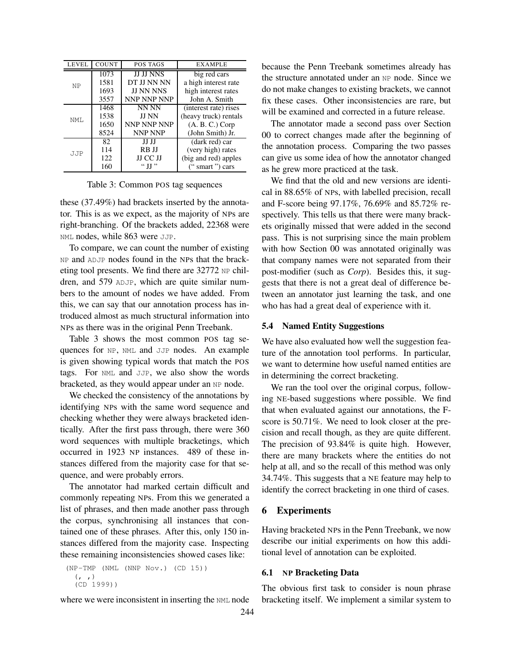| LEVEL      | COUNT | POS TAGS         | <b>EXAMPLE</b>         |  |  |
|------------|-------|------------------|------------------------|--|--|
| 1073       |       | <b>JJ JJ NNS</b> | big red cars           |  |  |
| <b>NP</b>  | 1581  | DT JJ NN NN      | a high interest rate   |  |  |
|            | 1693  | <b>JJ NN NNS</b> | high interest rates    |  |  |
|            | 3557  | NNP NNP NNP      | John A. Smith          |  |  |
|            | 1468  | NN NN            | (interest rate) rises  |  |  |
| NMT.       | 1538  | <b>JJ NN</b>     | (heavy truck) rentals  |  |  |
|            | 1650  | NNP NNP NNP      | $(A, B, C.)$ Corp      |  |  |
|            | 8524  | <b>NNP NNP</b>   | (John Smith) Jr.       |  |  |
|            | 82    | JJ JJ            | (dark red) car         |  |  |
| <b>JJP</b> | 114   | RB JJ            | (very high) rates      |  |  |
|            | 122   | JJ CC JJ         | (big and red) apples   |  |  |
|            | 160   | " II "           | $"$ smart " $'$ ) cars |  |  |

Table 3: Common POS tag sequences

these (37.49%) had brackets inserted by the annotator. This is as we expect, as the majority of NPs are right-branching. Of the brackets added, 22368 were NML nodes, while 863 were JJP.

To compare, we can count the number of existing NP and ADJP nodes found in the NPs that the bracketing tool presents. We find there are 32772 NP children, and 579 ADJP, which are quite similar numbers to the amount of nodes we have added. From this, we can say that our annotation process has introduced almost as much structural information into NPs as there was in the original Penn Treebank.

Table 3 shows the most common POS tag sequences for NP, NML and JJP nodes. An example is given showing typical words that match the POS tags. For NML and JJP, we also show the words bracketed, as they would appear under an NP node.

We checked the consistency of the annotations by identifying NPs with the same word sequence and checking whether they were always bracketed identically. After the first pass through, there were 360 word sequences with multiple bracketings, which occurred in 1923 NP instances. 489 of these instances differed from the majority case for that sequence, and were probably errors.

The annotator had marked certain difficult and commonly repeating NPs. From this we generated a list of phrases, and then made another pass through the corpus, synchronising all instances that contained one of these phrases. After this, only 150 instances differed from the majority case. Inspecting these remaining inconsistencies showed cases like:

```
(NP-TMP (NML (NNP Nov.) (CD 15))
(, )(CD 1999))
```
where we were inconsistent in inserting the NML node

because the Penn Treebank sometimes already has the structure annotated under an NP node. Since we do not make changes to existing brackets, we cannot fix these cases. Other inconsistencies are rare, but will be examined and corrected in a future release.

The annotator made a second pass over Section 00 to correct changes made after the beginning of the annotation process. Comparing the two passes can give us some idea of how the annotator changed as he grew more practiced at the task.

We find that the old and new versions are identical in 88.65% of NPs, with labelled precision, recall and F-score being 97.17%, 76.69% and 85.72% respectively. This tells us that there were many brackets originally missed that were added in the second pass. This is not surprising since the main problem with how Section 00 was annotated originally was that company names were not separated from their post-modifier (such as *Corp*). Besides this, it suggests that there is not a great deal of difference between an annotator just learning the task, and one who has had a great deal of experience with it.

#### **5.4 Named Entity Suggestions**

We have also evaluated how well the suggestion feature of the annotation tool performs. In particular, we want to determine how useful named entities are in determining the correct bracketing.

We ran the tool over the original corpus, following NE-based suggestions where possible. We find that when evaluated against our annotations, the Fscore is 50.71%. We need to look closer at the precision and recall though, as they are quite different. The precision of 93.84% is quite high. However, there are many brackets where the entities do not help at all, and so the recall of this method was only 34.74%. This suggests that a NE feature may help to identify the correct bracketing in one third of cases.

### **6 Experiments**

Having bracketed NPs in the Penn Treebank, we now describe our initial experiments on how this additional level of annotation can be exploited.

### **6.1 NP Bracketing Data**

The obvious first task to consider is noun phrase bracketing itself. We implement a similar system to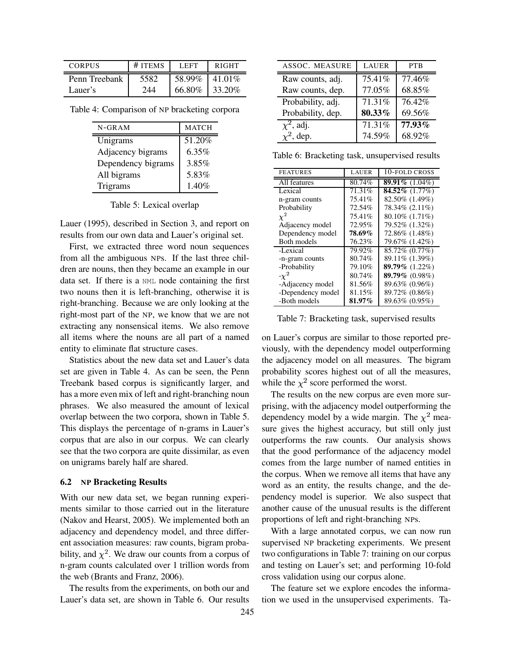| <b>CORPUS</b> | # ITEMS | LEFT   | <b>RIGHT</b> |  |
|---------------|---------|--------|--------------|--|
| Penn Treebank | 5582    | 58.99% | 41.01\%      |  |
| Lauer's       | 244     | 66.80% | 33.20\%      |  |

Table 4: Comparison of NP bracketing corpora

| $N - GRAM$         | <b>MATCH</b> |
|--------------------|--------------|
| Unigrams           | 51.20%       |
| Adjacency bigrams  | 6.35%        |
| Dependency bigrams | 3.85%        |
| All bigrams        | 5.83%        |
| Trigrams           | 1.40%        |

Table 5: Lexical overlap

Lauer (1995), described in Section 3, and report on results from our own data and Lauer's original set.

First, we extracted three word noun sequences from all the ambiguous NPs. If the last three children are nouns, then they became an example in our data set. If there is a NML node containing the first two nouns then it is left-branching, otherwise it is right-branching. Because we are only looking at the right-most part of the NP, we know that we are not extracting any nonsensical items. We also remove all items where the nouns are all part of a named entity to eliminate flat structure cases.

Statistics about the new data set and Lauer's data set are given in Table 4. As can be seen, the Penn Treebank based corpus is significantly larger, and has a more even mix of left and right-branching noun phrases. We also measured the amount of lexical overlap between the two corpora, shown in Table 5. This displays the percentage of n-grams in Lauer's corpus that are also in our corpus. We can clearly see that the two corpora are quite dissimilar, as even on unigrams barely half are shared.

#### **6.2 NP Bracketing Results**

With our new data set, we began running experiments similar to those carried out in the literature (Nakov and Hearst, 2005). We implemented both an adjacency and dependency model, and three different association measures: raw counts, bigram probability, and  $\chi^2$ . We draw our counts from a corpus of n-gram counts calculated over 1 trillion words from the web (Brants and Franz, 2006).

The results from the experiments, on both our and Lauer's data set, are shown in Table 6. Our results

| <b>ASSOC. MEASURE</b>      | <b>LAUER</b> | <b>PTB</b> |
|----------------------------|--------------|------------|
| Raw counts, adj.           | 75.41%       | 77.46%     |
| Raw counts, dep.           | 77.05%       | 68.85%     |
| Probability, adj.          | 71.31%       | 76.42%     |
| Probability, dep.          | 80.33%       | 69.56%     |
| $\overline{\chi}^2$ , adj. | 71.31%       | 77.93%     |
| $\chi^2$ , dep.            | 74.59%       | 68.92%     |

Table 6: Bracketing task, unsupervised results

| <b>FEATURES</b>   | <b>LAUER</b> | 10-FOLD CROSS     |
|-------------------|--------------|-------------------|
| All features      | 80.74%       | 89.91% $(1.04\%)$ |
| Lexical           | 71.31%       | $84.52\%$ (1.77%) |
| n-gram counts     | 75.41%       | 82.50% (1.49%)    |
| Probability       | 72.54%       | 78.34% (2.11%)    |
| $\chi^2$          | 75.41%       | 80.10% (1.71%)    |
| Adjacency model   | 72.95%       | 79.52% (1.32%)    |
| Dependency model  | 78.69%       | 72.86% (1.48%)    |
| Both models       | 76.23%       | 79.67% (1.42%)    |
| -Lexical          | 79.92%       | 85.72% (0.77%)    |
| -n-gram counts    | 80.74%       | 89.11% (1.39%)    |
| -Probability      | 79.10%       | 89.79% (1.22%)    |
| $-\chi^2$         | 80.74%       | 89.79% $(0.98\%)$ |
| -Adjacency model  | 81.56%       | 89.63% (0.96%)    |
| -Dependency model | 81.15%       | 89.72% (0.86%)    |
| -Both models      | 81.97%       | 89.63% (0.95%)    |

Table 7: Bracketing task, supervised results

on Lauer's corpus are similar to those reported previously, with the dependency model outperforming the adjacency model on all measures. The bigram probability scores highest out of all the measures, while the  $\chi^2$  score performed the worst.

The results on the new corpus are even more surprising, with the adjacency model outperforming the dependency model by a wide margin. The  $\chi^2$  measure gives the highest accuracy, but still only just outperforms the raw counts. Our analysis shows that the good performance of the adjacency model comes from the large number of named entities in the corpus. When we remove all items that have any word as an entity, the results change, and the dependency model is superior. We also suspect that another cause of the unusual results is the different proportions of left and right-branching NPs.

With a large annotated corpus, we can now run supervised NP bracketing experiments. We present two configurations in Table 7: training on our corpus and testing on Lauer's set; and performing 10-fold cross validation using our corpus alone.

The feature set we explore encodes the information we used in the unsupervised experiments. Ta-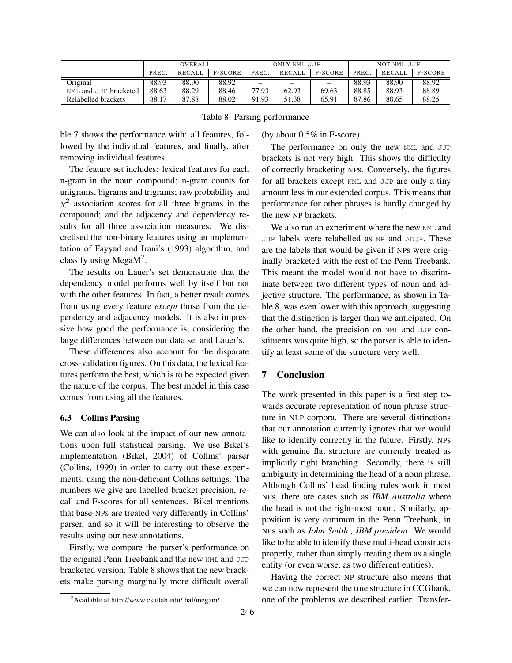|                       | <b>OVERALL</b> |               | ONLY NML JJP   |          |        | NOT NML JJP       |       |               |                |
|-----------------------|----------------|---------------|----------------|----------|--------|-------------------|-------|---------------|----------------|
|                       | PREC           | <b>RECALL</b> | <b>F-SCORE</b> | PREC.    | RECALL | <b>F-SCORE</b>    | PREC. | <b>RECALL</b> | <b>F-SCORE</b> |
| Original              | 88.93          | 88.90         | 88.92          | $\equiv$ | —      | $\qquad \qquad =$ | 88.93 | 88.90         | 88.92          |
| NML and JJP bracketed | 88.63          | 88.29         | 88.46          | 77.93    | 62.93  | 69.63             | 88.85 | 88.93         | 88.89          |
| Relabelled brackets   | 88.17          | 87.88         | 88.02          | 91.93    | 51.38  | 65.91             | 87.86 | 88.65         | 88.25          |

Table 8: Parsing performance

ble 7 shows the performance with: all features, followed by the individual features, and finally, after removing individual features.

The feature set includes: lexical features for each n-gram in the noun compound; n-gram counts for unigrams, bigrams and trigrams; raw probability and  $\chi^2$  association scores for all three bigrams in the compound; and the adjacency and dependency results for all three association measures. We discretised the non-binary features using an implementation of Fayyad and Irani's (1993) algorithm, and classify using Mega $M^2$ .

The results on Lauer's set demonstrate that the dependency model performs well by itself but not with the other features. In fact, a better result comes from using every feature *except* those from the dependency and adjacency models. It is also impressive how good the performance is, considering the large differences between our data set and Lauer's.

These differences also account for the disparate cross-validation figures. On this data, the lexical features perform the best, which is to be expected given the nature of the corpus. The best model in this case comes from using all the features.

# **6.3 Collins Parsing**

We can also look at the impact of our new annotations upon full statistical parsing. We use Bikel's implementation (Bikel, 2004) of Collins' parser (Collins, 1999) in order to carry out these experiments, using the non-deficient Collins settings. The numbers we give are labelled bracket precision, recall and F-scores for all sentences. Bikel mentions that base-NPs are treated very differently in Collins' parser, and so it will be interesting to observe the results using our new annotations.

Firstly, we compare the parser's performance on the original Penn Treebank and the new NML and JJP bracketed version. Table 8 shows that the new brackets make parsing marginally more difficult overall (by about 0.5% in F-score).

The performance on only the new NML and JJP brackets is not very high. This shows the difficulty of correctly bracketing NPs. Conversely, the figures for all brackets except NML and JJP are only a tiny amount less in our extended corpus. This means that performance for other phrases is hardly changed by the new NP brackets.

We also ran an experiment where the new NML and JJP labels were relabelled as NP and ADJP. These are the labels that would be given if NPs were originally bracketed with the rest of the Penn Treebank. This meant the model would not have to discriminate between two different types of noun and adjective structure. The performance, as shown in Table 8, was even lower with this approach, suggesting that the distinction is larger than we anticipated. On the other hand, the precision on NML and JJP constituents was quite high, so the parser is able to identify at least some of the structure very well.

# **7 Conclusion**

The work presented in this paper is a first step towards accurate representation of noun phrase structure in NLP corpora. There are several distinctions that our annotation currently ignores that we would like to identify correctly in the future. Firstly, NPs with genuine flat structure are currently treated as implicitly right branching. Secondly, there is still ambiguity in determining the head of a noun phrase. Although Collins' head finding rules work in most NPs, there are cases such as *IBM Australia* where the head is not the right-most noun. Similarly, apposition is very common in the Penn Treebank, in NPs such as *John Smith , IBM president*. We would like to be able to identify these multi-head constructs properly, rather than simply treating them as a single entity (or even worse, as two different entities).

Having the correct NP structure also means that we can now represent the true structure in CCGbank, one of the problems we described earlier. Transfer-

<sup>2</sup>Available at http://www.cs.utah.edu/ hal/megam/